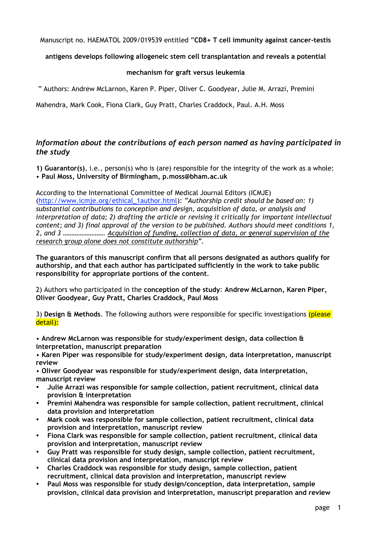Manuscript no. HAEMATOL 2009/019539 entitled "**CD8+ T cell immunity against cancer-testis**

## **antigens develops following allogeneic stem cell transplantation and reveals a potential**

## **mechanism for graft versus leukemia**

" Authors: Andrew McLarnon, Karen P. Piper, Oliver C. Goodyear, Julie M. Arrazi, Premini

Mahendra, Mark Cook, Fiona Clark, Guy Pratt, Charles Craddock, Paul. A.H. Moss

## *Information about the contributions of each person named as having participated in the study*

**1) Guarantor(s)**, i.e., person(s) who is (are) responsible for the integrity of the work as a whole: • **Paul Moss, University of Birmingham, p.moss@bham.ac.uk**

According to the International Committee of Medical Journal Editors (ICMJE) (http://www.icmje.org/ethical\_1author.html): *"Authorship credit should be based on: 1) substantial contributions to conception and design, acquisition of data, or analysis and interpretation of data; 2) drafting the article or revising it critically for important intellectual content; and 3) final approval of the version to be published. Authors should meet conditions 1, 2, and 3 ……………………. Acquisition of funding, collection of data, or general supervision of the research group alone does not constitute authorship".*

**The guarantors of this manuscript confirm that all persons designated as authors qualify for authorship, and that each author has participated sufficiently in the work to take public responsibility for appropriate portions of the content**.

2) Authors who participated in the **conception of the study**: **Andrew McLarnon, Karen Piper, Oliver Goodyear, Guy Pratt, Charles Craddock, Paul Moss**

3) **Design & Methods**. The following authors were responsible for specific investigations (please detail):

• **Andrew McLarnon was responsible for study/experiment design, data collection & interpretation, manuscript preparation**

• **Karen Piper was responsible for study/experiment design, data interpretation, manuscript review**

• **Oliver Goodyear was responsible for study/experiment design, data interpretation, manuscript review**

- **Julie Arrazi was responsible for sample collection, patient recruitment, clinical data provision & interpretation**
- **Premini Mahendra was responsible for sample collection, patient recruitment, clinical data provision and interpretation**
- **Mark cook was responsible for sample collection, patient recruitment, clinical data provision and interpretation, manuscript review**
- **Fiona Clark was responsible for sample collection, patient recruitment, clinical data provision and interpretation, manuscript review**
- **Guy Pratt was responsible for study design, sample collection, patient recruitment, clinical data provision and interpretation, manuscript review**
- **Charles Craddock was responsible for study design, sample collection, patient recruitment, clinical data provision and interpretation, manuscript review**
- **Paul Moss was responsible for study design/conception, data interpretation, sample provision, clinical data provision and interpretation, manuscript preparation and review**